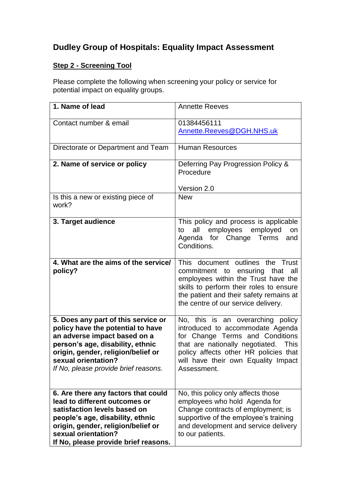## **Dudley Group of Hospitals: Equality Impact Assessment**

## **Step 2 - Screening Tool**

Please complete the following when screening your policy or service for potential impact on equality groups.

| 1. Name of lead                                                                                                                                                                                                                                   | <b>Annette Reeves</b>                                                                                                                                                                                                                                     |
|---------------------------------------------------------------------------------------------------------------------------------------------------------------------------------------------------------------------------------------------------|-----------------------------------------------------------------------------------------------------------------------------------------------------------------------------------------------------------------------------------------------------------|
| Contact number & email                                                                                                                                                                                                                            | 01384456111<br>Annette.Reeves@DGH.NHS.uk                                                                                                                                                                                                                  |
| Directorate or Department and Team                                                                                                                                                                                                                | <b>Human Resources</b>                                                                                                                                                                                                                                    |
| 2. Name of service or policy                                                                                                                                                                                                                      | Deferring Pay Progression Policy &<br>Procedure<br>Version 2.0                                                                                                                                                                                            |
| Is this a new or existing piece of<br>work?                                                                                                                                                                                                       | <b>New</b>                                                                                                                                                                                                                                                |
| 3. Target audience                                                                                                                                                                                                                                | This policy and process is applicable<br>employees employed<br>all<br>to<br><b>on</b><br>Agenda for Change<br>Terms<br>and<br>Conditions.                                                                                                                 |
| 4. What are the aims of the service/<br>policy?                                                                                                                                                                                                   | This document outlines the Trust<br>commitment to<br>ensuring<br>that<br>all<br>employees within the Trust have the<br>skills to perform their roles to ensure<br>the patient and their safety remains at<br>the centre of our service delivery.          |
| 5. Does any part of this service or<br>policy have the potential to have<br>an adverse impact based on a<br>person's age, disability, ethnic<br>origin, gender, religion/belief or<br>sexual orientation?<br>If No, please provide brief reasons. | No, this is an overarching policy<br>introduced to accommodate Agenda<br>for Change Terms and Conditions<br>that are nationally negotiated.<br><b>This</b><br>policy affects other HR policies that<br>will have their own Equality Impact<br>Assessment. |
| 6. Are there any factors that could<br>lead to different outcomes or<br>satisfaction levels based on<br>people's age, disability, ethnic<br>origin, gender, religion/belief or<br>sexual orientation?<br>If No, please provide brief reasons.     | No, this policy only affects those<br>employees who hold Agenda for<br>Change contracts of employment; is<br>supportive of the employee's training<br>and development and service delivery<br>to our patients.                                            |